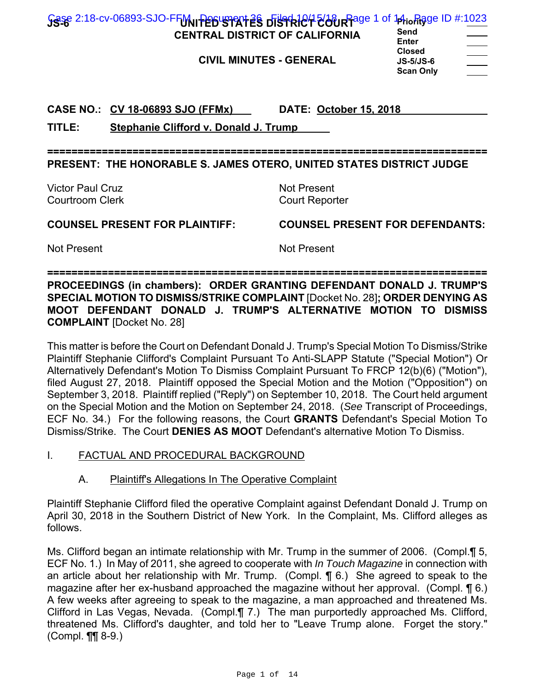| Gase 2:18-cv-06893-SJO-FFM Persuanant 28 District People Page 1 of 14 in Rage ID #:1023<br><b>CENTRAL DISTRICT OF CALIFORNIA</b><br><b>CIVIL MINUTES - GENERAL</b> | Send<br><b>Enter</b><br><b>Closed</b><br>$JS-5/JS-6$         |
|--------------------------------------------------------------------------------------------------------------------------------------------------------------------|--------------------------------------------------------------|
| CASE NO.: CV 18-06893 SJO (FFMx)                                                                                                                                   | <b>Scan Only</b><br>DATE: October 15, 2018                   |
| TITLE:<br><b>Stephanie Clifford v. Donald J. Trump</b><br>PRESENT: THE HONORABLE S. JAMES OTERO, UNITED STATES DISTRICT JUDGE                                      |                                                              |
| <b>Victor Paul Cruz</b><br><b>Courtroom Clerk</b>                                                                                                                  | <b>Not Present</b><br><b>Court Reporter</b>                  |
| <b>COUNSEL PRESENT FOR PLAINTIFF:</b><br><b>Not Present</b>                                                                                                        | <b>COUNSEL PRESENT FOR DEFENDANTS:</b><br><b>Not Present</b> |

**PROCEEDINGS (in chambers): ORDER GRANTING DEFENDANT DONALD J. TRUMP'S SPECIAL MOTION TO DISMISS/STRIKE COMPLAINT** [Docket No. 28]**; ORDER DENYING AS MOOT DEFENDANT DONALD J. TRUMP'S ALTERNATIVE MOTION TO DISMISS COMPLAINT** [Docket No. 28]

This matter is before the Court on Defendant Donald J. Trump's Special Motion To Dismiss/Strike Plaintiff Stephanie Clifford's Complaint Pursuant To Anti-SLAPP Statute ("Special Motion") Or Alternatively Defendant's Motion To Dismiss Complaint Pursuant To FRCP 12(b)(6) ("Motion"), filed August 27, 2018. Plaintiff opposed the Special Motion and the Motion ("Opposition") on September 3, 2018. Plaintiff replied ("Reply") on September 10, 2018. The Court held argument on the Special Motion and the Motion on September 24, 2018. (*See* Transcript of Proceedings, ECF No. 34.) For the following reasons, the Court **GRANTS** Defendant's Special Motion To Dismiss/Strike. The Court **DENIES AS MOOT** Defendant's alternative Motion To Dismiss.

- I. FACTUAL AND PROCEDURAL BACKGROUND
	- A. Plaintiff's Allegations In The Operative Complaint

Plaintiff Stephanie Clifford filed the operative Complaint against Defendant Donald J. Trump on April 30, 2018 in the Southern District of New York. In the Complaint, Ms. Clifford alleges as follows.

Ms. Clifford began an intimate relationship with Mr. Trump in the summer of 2006. (Compl.¶ 5, ECF No. 1.) In May of 2011, she agreed to cooperate with *In Touch Magazine* in connection with an article about her relationship with Mr. Trump. (Compl. ¶ 6.) She agreed to speak to the magazine after her ex-husband approached the magazine without her approval. (Compl. ¶ 6.) A few weeks after agreeing to speak to the magazine, a man approached and threatened Ms. Clifford in Las Vegas, Nevada. (Compl.¶ 7.) The man purportedly approached Ms. Clifford, threatened Ms. Clifford's daughter, and told her to "Leave Trump alone. Forget the story." (Compl. ¶¶ 8-9.)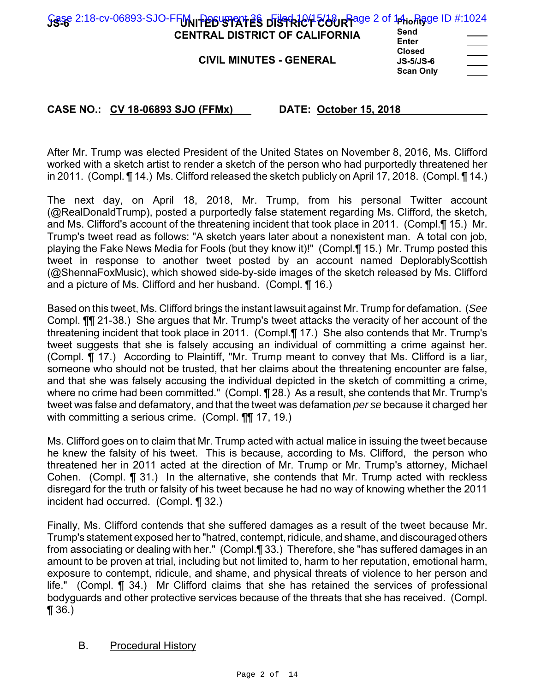| <b>CENTRAL DISTRICT OF CALIFORNIA</b><br><b>CIVIL MINUTES - GENERAL</b> | Send<br>Enter<br><b>Closed</b><br>$JS-5/JS-6$<br><b>Scan Only</b> | ____ |
|-------------------------------------------------------------------------|-------------------------------------------------------------------|------|
|                                                                         |                                                                   |      |

After Mr. Trump was elected President of the United States on November 8, 2016, Ms. Clifford worked with a sketch artist to render a sketch of the person who had purportedly threatened her in 2011. (Compl. ¶ 14.) Ms. Clifford released the sketch publicly on April 17, 2018. (Compl. ¶ 14.)

The next day, on April 18, 2018, Mr. Trump, from his personal Twitter account (@RealDonaldTrump), posted a purportedly false statement regarding Ms. Clifford, the sketch, and Ms. Clifford's account of the threatening incident that took place in 2011. (Compl.¶ 15.) Mr. Trump's tweet read as follows: "A sketch years later about a nonexistent man. A total con job, playing the Fake News Media for Fools (but they know it)!" (Compl.¶ 15.) Mr. Trump posted this tweet in response to another tweet posted by an account named DeplorablyScottish (@ShennaFoxMusic), which showed side-by-side images of the sketch released by Ms. Clifford and a picture of Ms. Clifford and her husband. (Compl. ¶ 16.)

Based on this tweet, Ms. Clifford brings the instant lawsuit against Mr. Trump for defamation. (*See* Compl. ¶¶ 21-38.) She argues that Mr. Trump's tweet attacks the veracity of her account of the threatening incident that took place in 2011. (Compl.¶ 17.) She also contends that Mr. Trump's tweet suggests that she is falsely accusing an individual of committing a crime against her. (Compl. ¶ 17.) According to Plaintiff, "Mr. Trump meant to convey that Ms. Clifford is a liar, someone who should not be trusted, that her claims about the threatening encounter are false, and that she was falsely accusing the individual depicted in the sketch of committing a crime, where no crime had been committed." (Compl. ¶ 28.) As a result, she contends that Mr. Trump's tweet was false and defamatory, and that the tweet was defamation *per se* because it charged her with committing a serious crime. (Compl. **[1]** 17, 19.)

Ms. Clifford goes on to claim that Mr. Trump acted with actual malice in issuing the tweet because he knew the falsity of his tweet. This is because, according to Ms. Clifford, the person who threatened her in 2011 acted at the direction of Mr. Trump or Mr. Trump's attorney, Michael Cohen. (Compl. ¶ 31.) In the alternative, she contends that Mr. Trump acted with reckless disregard for the truth or falsity of his tweet because he had no way of knowing whether the 2011 incident had occurred. (Compl. ¶ 32.)

Finally, Ms. Clifford contends that she suffered damages as a result of the tweet because Mr. Trump's statement exposed her to "hatred, contempt, ridicule, and shame, and discouraged others from associating or dealing with her." (Compl.¶ 33.) Therefore, she "has suffered damages in an amount to be proven at trial, including but not limited to, harm to her reputation, emotional harm, exposure to contempt, ridicule, and shame, and physical threats of violence to her person and life." (Compl. ¶ 34.) Mr Clifford claims that she has retained the services of professional bodyguards and other protective services because of the threats that she has received. (Compl. ¶ 36.)

#### B. Procedural History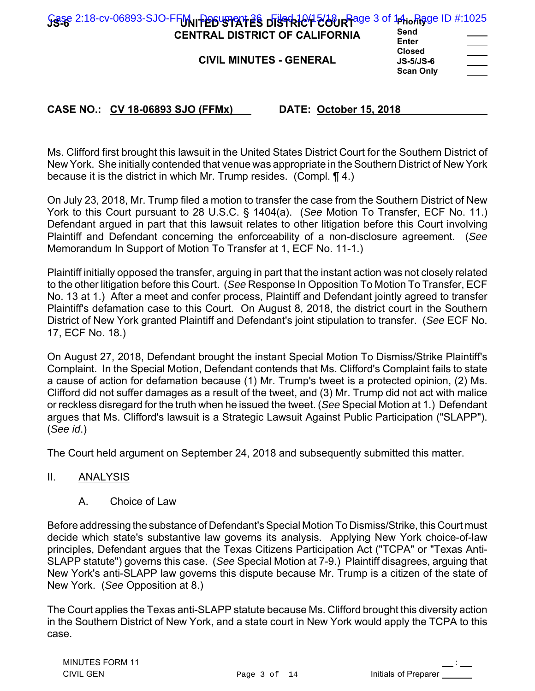| Gase 2:18-cv-06893-SJO-FFM Persystement 28 District 200 R Rage 3 of 14 in Rage ID #:1025<br><b>CENTRAL DISTRICT OF CALIFORNIA</b> | Send<br>Enter                                    | $\sim$ $\sim$ |
|-----------------------------------------------------------------------------------------------------------------------------------|--------------------------------------------------|---------------|
| <b>CIVIL MINUTES - GENERAL</b>                                                                                                    | <b>Closed</b><br>$JS-5/JS-6$<br><b>Scan Only</b> | ______        |

Ms. Clifford first brought this lawsuit in the United States District Court for the Southern District of

New York. She initially contended that venue was appropriate in the Southern District of New York because it is the district in which Mr. Trump resides. (Compl. ¶ 4.)

On July 23, 2018, Mr. Trump filed a motion to transfer the case from the Southern District of New York to this Court pursuant to 28 U.S.C. § 1404(a). (*See* Motion To Transfer, ECF No. 11.) Defendant argued in part that this lawsuit relates to other litigation before this Court involving Plaintiff and Defendant concerning the enforceability of a non-disclosure agreement. (*See* Memorandum In Support of Motion To Transfer at 1, ECF No. 11-1.)

Plaintiff initially opposed the transfer, arguing in part that the instant action was not closely related to the other litigation before this Court. (*See* Response In Opposition To Motion To Transfer, ECF No. 13 at 1.) After a meet and confer process, Plaintiff and Defendant jointly agreed to transfer Plaintiff's defamation case to this Court. On August 8, 2018, the district court in the Southern District of New York granted Plaintiff and Defendant's joint stipulation to transfer. (*See* ECF No. 17, ECF No. 18.)

On August 27, 2018, Defendant brought the instant Special Motion To Dismiss/Strike Plaintiff's Complaint. In the Special Motion, Defendant contends that Ms. Clifford's Complaint fails to state a cause of action for defamation because (1) Mr. Trump's tweet is a protected opinion, (2) Ms. Clifford did not suffer damages as a result of the tweet, and (3) Mr. Trump did not act with malice or reckless disregard for the truth when he issued the tweet. (*See* Special Motion at 1.) Defendant argues that Ms. Clifford's lawsuit is a Strategic Lawsuit Against Public Participation ("SLAPP"). (*See id*.)

The Court held argument on September 24, 2018 and subsequently submitted this matter.

#### II. ANALYSIS

#### A. Choice of Law

Before addressing the substance of Defendant's Special Motion To Dismiss/Strike, this Court must decide which state's substantive law governs its analysis. Applying New York choice-of-law principles, Defendant argues that the Texas Citizens Participation Act ("TCPA" or "Texas Anti-SLAPP statute") governs this case. (*See* Special Motion at 7-9.) Plaintiff disagrees, arguing that New York's anti-SLAPP law governs this dispute because Mr. Trump is a citizen of the state of New York. (*See* Opposition at 8.)

The Court applies the Texas anti-SLAPP statute because Ms. Clifford brought this diversity action in the Southern District of New York, and a state court in New York would apply the TCPA to this case.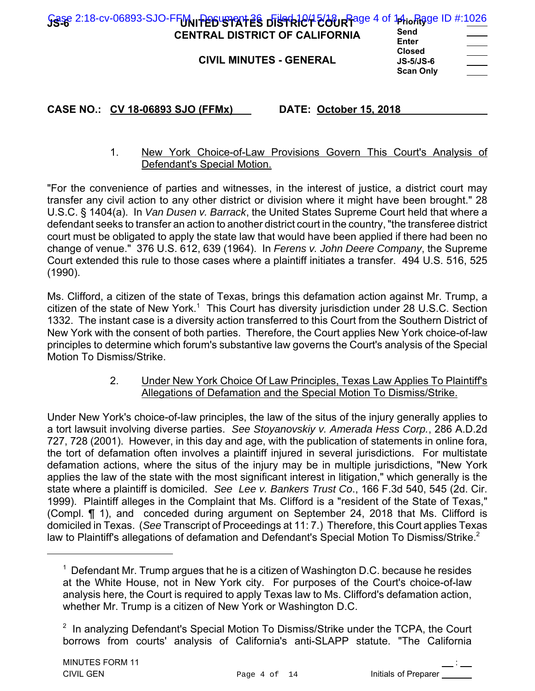| Gase 2:18-cv-06893-SJO-FFM PEGUSTRIT 28 DISTRICT 200 RFage 4 of 14 in Rigge ID #:1026<br><b>CENTRAL DISTRICT OF CALIFORNIA</b> | Send<br>Enter                                         | ______ |
|--------------------------------------------------------------------------------------------------------------------------------|-------------------------------------------------------|--------|
| <b>CIVIL MINUTES - GENERAL</b>                                                                                                 | <b>Closed</b><br><b>JS-5/JS-6</b><br><b>Scan Only</b> |        |

# 1. New York Choice-of-Law Provisions Govern This Court's Analysis of Defendant's Special Motion.

"For the convenience of parties and witnesses, in the interest of justice, a district court may transfer any civil action to any other district or division where it might have been brought." 28 U.S.C. § 1404(a). In *Van Dusen v. Barrack*, the United States Supreme Court held that where a defendant seeks to transfer an action to another district court in the country, "the transferee district court must be obligated to apply the state law that would have been applied if there had been no change of venue." 376 U.S. 612, 639 (1964). In *Ferens v. John Deere Company*, the Supreme Court extended this rule to those cases where a plaintiff initiates a transfer. 494 U.S. 516, 525 (1990).

Ms. Clifford, a citizen of the state of Texas, brings this defamation action against Mr. Trump, a citizen of the state of New York. $^1$  This Court has diversity jurisdiction under 28 U.S.C. Section 1332. The instant case is a diversity action transferred to this Court from the Southern District of New York with the consent of both parties. Therefore, the Court applies New York choice-of-law principles to determine which forum's substantive law governs the Court's analysis of the Special Motion To Dismiss/Strike.

#### 2. Under New York Choice Of Law Principles, Texas Law Applies To Plaintiff's Allegations of Defamation and the Special Motion To Dismiss/Strike.

Under New York's choice-of-law principles, the law of the situs of the injury generally applies to a tort lawsuit involving diverse parties. *See Stoyanovskiy v. Amerada Hess Corp.*, 286 A.D.2d 727, 728 (2001). However, in this day and age, with the publication of statements in online fora, the tort of defamation often involves a plaintiff injured in several jurisdictions. For multistate defamation actions, where the situs of the injury may be in multiple jurisdictions, "New York applies the law of the state with the most significant interest in litigation," which generally is the state where a plaintiff is domiciled. *See Lee v. Bankers Trust Co*., 166 F.3d 540, 545 (2d. Cir. 1999). Plaintiff alleges in the Complaint that Ms. Clifford is a "resident of the State of Texas," (Compl. ¶ 1), and conceded during argument on September 24, 2018 that Ms. Clifford is domiciled in Texas. (*See* Transcript of Proceedings at 11: 7.) Therefore, this Court applies Texas law to Plaintiff's allegations of defamation and Defendant's Special Motion To Dismiss/Strike. $^2$ 

 $^\text{1}$  Defendant Mr. Trump argues that he is a citizen of Washington D.C. because he resides at the White House, not in New York city. For purposes of the Court's choice-of-law analysis here, the Court is required to apply Texas law to Ms. Clifford's defamation action, whether Mr. Trump is a citizen of New York or Washington D.C.

 $^{\rm 2}$  In analyzing Defendant's Special Motion To Dismiss/Strike under the TCPA, the Court borrows from courts' analysis of California's anti-SLAPP statute. "The California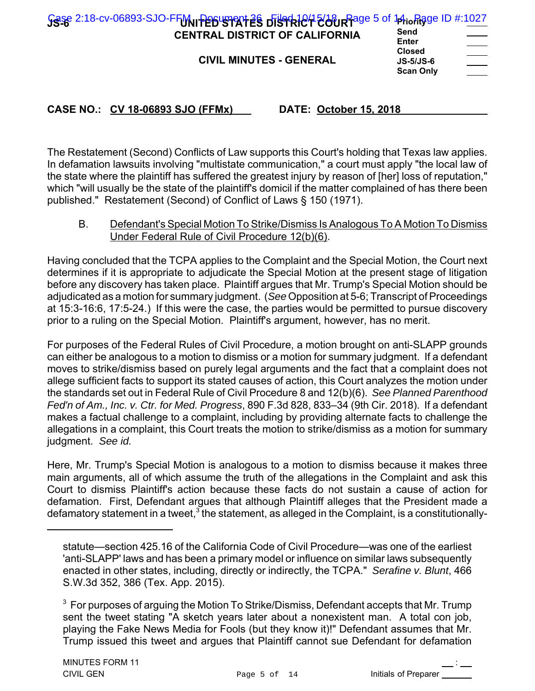| Sese 2:18-cv-06893-SJO-FFM Persuant 28 District 200 R Rage 5 of 14 in Rage ID #:1027<br><b>CENTRAL DISTRICT OF CALIFORNIA</b><br><b>CIVIL MINUTES - GENERAL</b> | Send<br>Enter<br><b>Closed</b><br>$JS-5/JS-6$ | $\frac{1}{2}$ |
|-----------------------------------------------------------------------------------------------------------------------------------------------------------------|-----------------------------------------------|---------------|
|                                                                                                                                                                 | <b>Scan Only</b>                              |               |

The Restatement (Second) Conflicts of Law supports this Court's holding that Texas law applies. In defamation lawsuits involving "multistate communication," a court must apply "the local law of the state where the plaintiff has suffered the greatest injury by reason of [her] loss of reputation," which "will usually be the state of the plaintiff's domicil if the matter complained of has there been published." Restatement (Second) of Conflict of Laws § 150 (1971).

B. Defendant's Special Motion To Strike/Dismiss Is Analogous To A Motion To Dismiss Under Federal Rule of Civil Procedure 12(b)(6).

Having concluded that the TCPA applies to the Complaint and the Special Motion, the Court next determines if it is appropriate to adjudicate the Special Motion at the present stage of litigation before any discovery has taken place. Plaintiff argues that Mr. Trump's Special Motion should be adjudicated as a motion for summary judgment. (*See* Opposition at 5-6; Transcript of Proceedings at 15:3-16:6, 17:5-24.) If this were the case, the parties would be permitted to pursue discovery prior to a ruling on the Special Motion. Plaintiff's argument, however, has no merit.

For purposes of the Federal Rules of Civil Procedure, a motion brought on anti-SLAPP grounds can either be analogous to a motion to dismiss or a motion for summary judgment. If a defendant moves to strike/dismiss based on purely legal arguments and the fact that a complaint does not allege sufficient facts to support its stated causes of action, this Court analyzes the motion under the standards set out in Federal Rule of Civil Procedure 8 and 12(b)(6). *See Planned Parenthood Fed'n of Am., Inc. v. Ctr. for Med. Progress*, 890 F.3d 828, 833–34 (9th Cir. 2018). If a defendant makes a factual challenge to a complaint, including by providing alternate facts to challenge the allegations in a complaint, this Court treats the motion to strike/dismiss as a motion for summary judgment. *See id.* 

Here, Mr. Trump's Special Motion is analogous to a motion to dismiss because it makes three main arguments, all of which assume the truth of the allegations in the Complaint and ask this Court to dismiss Plaintiff's action because these facts do not sustain a cause of action for defamation. First, Defendant argues that although Plaintiff alleges that the President made a defamatory statement in a tweet, $^3$  the statement, as alleged in the Complaint, is a constitutionally-

statute—section 425.16 of the California Code of Civil Procedure—was one of the earliest 'anti-SLAPP' laws and has been a primary model or influence on similar laws subsequently enacted in other states, including, directly or indirectly, the TCPA." *Serafine v. Blunt*, 466 S.W.3d 352, 386 (Tex. App. 2015).

 $^{\rm 3}$  For purposes of arguing the Motion To Strike/Dismiss, Defendant accepts that Mr. Trump sent the tweet stating "A sketch years later about a nonexistent man. A total con job, playing the Fake News Media for Fools (but they know it)!" Defendant assumes that Mr. Trump issued this tweet and argues that Plaintiff cannot sue Defendant for defamation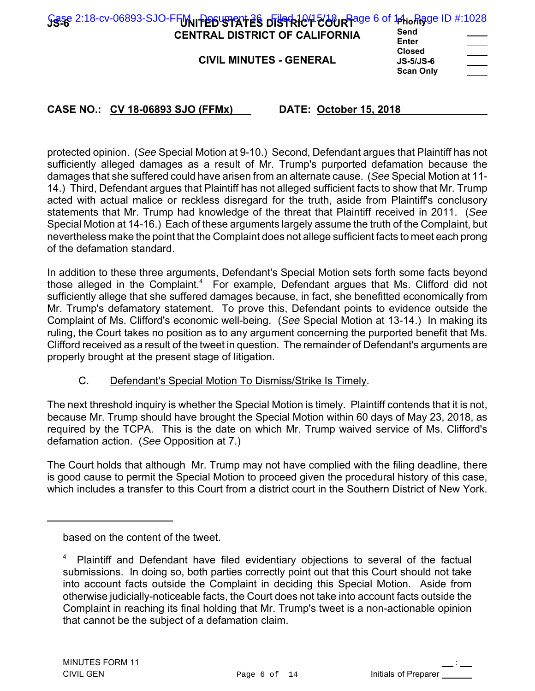| <b>CENTRAL DISTRICT OF CALIFORNIA</b> | Send<br>Enter                                    |  |
|---------------------------------------|--------------------------------------------------|--|
| <b>CIVIL MINUTES - GENERAL</b>        | <b>Closed</b><br>$JS-5/JS-6$<br><b>Scan Only</b> |  |

protected opinion. (*See* Special Motion at 9-10.) Second, Defendant argues that Plaintiff has not sufficiently alleged damages as a result of Mr. Trump's purported defamation because the damages that she suffered could have arisen from an alternate cause. (*See* Special Motion at 11- 14.) Third, Defendant argues that Plaintiff has not alleged sufficient facts to show that Mr. Trump acted with actual malice or reckless disregard for the truth, aside from Plaintiff's conclusory statements that Mr. Trump had knowledge of the threat that Plaintiff received in 2011. (*See* Special Motion at 14-16.) Each of these arguments largely assume the truth of the Complaint, but nevertheless make the point that the Complaint does not allege sufficient facts to meet each prong of the defamation standard.

In addition to these three arguments, Defendant's Special Motion sets forth some facts beyond those alleged in the Complaint.<sup>4</sup> For example, Defendant argues that Ms. Clifford did not sufficiently allege that she suffered damages because, in fact, she benefitted economically from Mr. Trump's defamatory statement. To prove this, Defendant points to evidence outside the Complaint of Ms. Clifford's economic well-being. (*See* Special Motion at 13-14.) In making its ruling, the Court takes no position as to any argument concerning the purported benefit that Ms. Clifford received as a result of the tweet in question. The remainder of Defendant's arguments are properly brought at the present stage of litigation.

C. Defendant's Special Motion To Dismiss/Strike Is Timely.

The next threshold inquiry is whether the Special Motion is timely. Plaintiff contends that it is not, because Mr. Trump should have brought the Special Motion within 60 days of May 23, 2018, as required by the TCPA. This is the date on which Mr. Trump waived service of Ms. Clifford's defamation action. (*See* Opposition at 7.)

The Court holds that although Mr. Trump may not have complied with the filing deadline, there is good cause to permit the Special Motion to proceed given the procedural history of this case, which includes a transfer to this Court from a district court in the Southern District of New York.

based on the content of the tweet.

<sup>&</sup>lt;sup>4</sup> Plaintiff and Defendant have filed evidentiary objections to several of the factual submissions. In doing so, both parties correctly point out that this Court should not take into account facts outside the Complaint in deciding this Special Motion. Aside from otherwise judicially-noticeable facts, the Court does not take into account facts outside the Complaint in reaching its final holding that Mr. Trump's tweet is a non-actionable opinion that cannot be the subject of a defamation claim.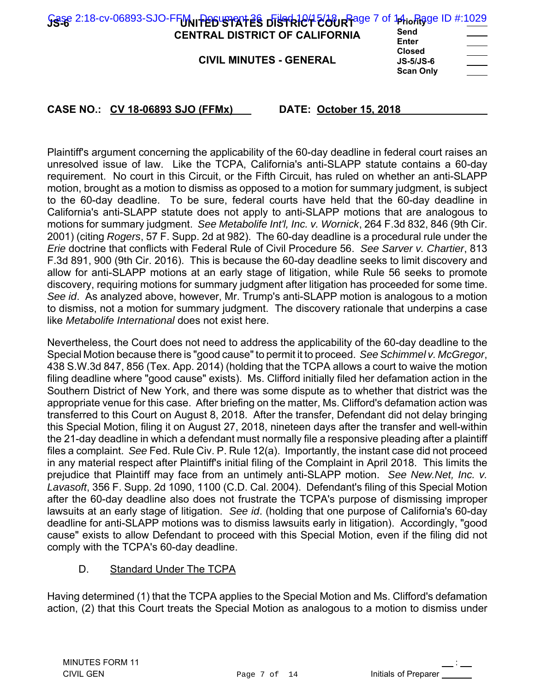| <b>CENTRAL DISTRICT OF CALIFORNIA</b><br><b>CIVIL MINUTES - GENERAL</b> | Send<br><b>Enter</b><br><b>Closed</b><br>$JS-5/JS-6$<br><b>Scan Only</b> |
|-------------------------------------------------------------------------|--------------------------------------------------------------------------|
|                                                                         |                                                                          |

Plaintiff's argument concerning the applicability of the 60-day deadline in federal court raises an unresolved issue of law. Like the TCPA, California's anti-SLAPP statute contains a 60-day requirement. No court in this Circuit, or the Fifth Circuit, has ruled on whether an anti-SLAPP motion, brought as a motion to dismiss as opposed to a motion for summary judgment, is subject to the 60-day deadline. To be sure, federal courts have held that the 60-day deadline in California's anti-SLAPP statute does not apply to anti-SLAPP motions that are analogous to motions for summary judgment. *See Metabolife Int'l, Inc. v. Wornick*, 264 F.3d 832, 846 (9th Cir. 2001) (citing *Rogers*, 57 F. Supp. 2d at 982). The 60-day deadline is a procedural rule under the *Erie* doctrine that conflicts with Federal Rule of Civil Procedure 56. *See Sarver v. Chartier*, 813 F.3d 891, 900 (9th Cir. 2016). This is because the 60-day deadline seeks to limit discovery and allow for anti-SLAPP motions at an early stage of litigation, while Rule 56 seeks to promote discovery, requiring motions for summary judgment after litigation has proceeded for some time. *See id*. As analyzed above, however, Mr. Trump's anti-SLAPP motion is analogous to a motion to dismiss, not a motion for summary judgment. The discovery rationale that underpins a case like *Metabolife International* does not exist here.

Nevertheless, the Court does not need to address the applicability of the 60-day deadline to the Special Motion because there is "good cause" to permit it to proceed. *See Schimmel v. McGregor*, 438 S.W.3d 847, 856 (Tex. App. 2014) (holding that the TCPA allows a court to waive the motion filing deadline where "good cause" exists). Ms. Clifford initially filed her defamation action in the Southern District of New York, and there was some dispute as to whether that district was the appropriate venue for this case. After briefing on the matter, Ms. Clifford's defamation action was transferred to this Court on August 8, 2018. After the transfer, Defendant did not delay bringing this Special Motion, filing it on August 27, 2018, nineteen days after the transfer and well-within the 21-day deadline in which a defendant must normally file a responsive pleading after a plaintiff files a complaint. *See* Fed. Rule Civ. P. Rule 12(a). Importantly, the instant case did not proceed in any material respect after Plaintiff's initial filing of the Complaint in April 2018. This limits the prejudice that Plaintiff may face from an untimely anti-SLAPP motion. *See New.Net, Inc. v. Lavasoft*, 356 F. Supp. 2d 1090, 1100 (C.D. Cal. 2004). Defendant's filing of this Special Motion after the 60-day deadline also does not frustrate the TCPA's purpose of dismissing improper lawsuits at an early stage of litigation. *See id*. (holding that one purpose of California's 60-day deadline for anti-SLAPP motions was to dismiss lawsuits early in litigation). Accordingly, "good cause" exists to allow Defendant to proceed with this Special Motion, even if the filing did not comply with the TCPA's 60-day deadline.

# D. Standard Under The TCPA

Having determined (1) that the TCPA applies to the Special Motion and Ms. Clifford's defamation action, (2) that this Court treats the Special Motion as analogous to a motion to dismiss under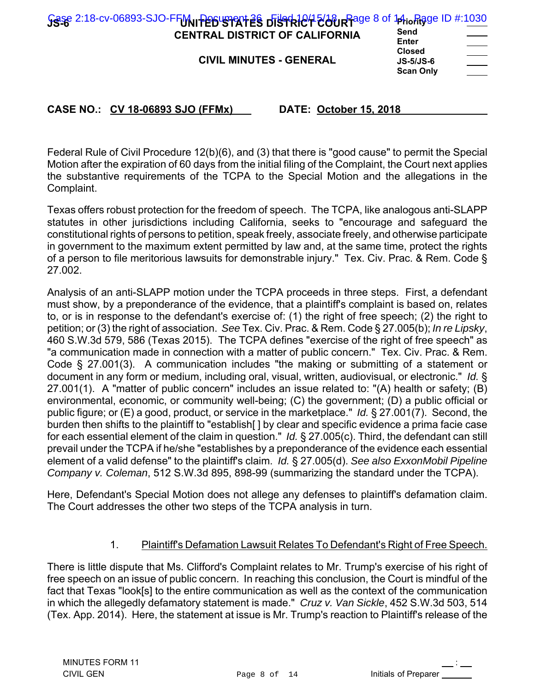| Gase 2:18-cv-06893-SJO-FFM Persuanant 28 District 200 R Rage 8 of 14 in Rigge ID #:1030<br><b>CENTRAL DISTRICT OF CALIFORNIA</b><br><b>CIVIL MINUTES - GENERAL</b> | Send<br>Enter<br><b>Closed</b><br>$JS-5/JS-6$ | $\overbrace{\hspace{25mm}}^{}$ |
|--------------------------------------------------------------------------------------------------------------------------------------------------------------------|-----------------------------------------------|--------------------------------|
|                                                                                                                                                                    |                                               |                                |
|                                                                                                                                                                    | <b>Scan Only</b>                              |                                |

Federal Rule of Civil Procedure 12(b)(6), and (3) that there is "good cause" to permit the Special Motion after the expiration of 60 days from the initial filing of the Complaint, the Court next applies the substantive requirements of the TCPA to the Special Motion and the allegations in the Complaint.

Texas offers robust protection for the freedom of speech. The TCPA, like analogous anti-SLAPP statutes in other jurisdictions including California, seeks to "encourage and safeguard the constitutional rights of persons to petition, speak freely, associate freely, and otherwise participate in government to the maximum extent permitted by law and, at the same time, protect the rights of a person to file meritorious lawsuits for demonstrable injury." Tex. Civ. Prac. & Rem. Code § 27.002.

Analysis of an anti-SLAPP motion under the TCPA proceeds in three steps. First, a defendant must show, by a preponderance of the evidence, that a plaintiff's complaint is based on, relates to, or is in response to the defendant's exercise of: (1) the right of free speech; (2) the right to petition; or (3) the right of association. *See* Tex. Civ. Prac. & Rem. Code § 27.005(b); *In re Lipsky*, 460 S.W.3d 579, 586 (Texas 2015). The TCPA defines "exercise of the right of free speech" as "a communication made in connection with a matter of public concern." Tex. Civ. Prac. & Rem. Code § 27.001(3). A communication includes "the making or submitting of a statement or document in any form or medium, including oral, visual, written, audiovisual, or electronic." *Id.* § 27.001(1). A "matter of public concern" includes an issue related to: "(A) health or safety; (B) environmental, economic, or community well-being; (C) the government; (D) a public official or public figure; or (E) a good, product, or service in the marketplace." *Id.* § 27.001(7). Second, the burden then shifts to the plaintiff to "establish[ ] by clear and specific evidence a prima facie case for each essential element of the claim in question." *Id.* § 27.005(c). Third, the defendant can still prevail under the TCPA if he/she "establishes by a preponderance of the evidence each essential element of a valid defense" to the plaintiff's claim. *Id.* § 27.005(d). *See also ExxonMobil Pipeline Company v. Coleman*, 512 S.W.3d 895, 898-99 (summarizing the standard under the TCPA).

Here, Defendant's Special Motion does not allege any defenses to plaintiff's defamation claim. The Court addresses the other two steps of the TCPA analysis in turn.

# 1. Plaintiff's Defamation Lawsuit Relates To Defendant's Right of Free Speech.

There is little dispute that Ms. Clifford's Complaint relates to Mr. Trump's exercise of his right of free speech on an issue of public concern. In reaching this conclusion, the Court is mindful of the fact that Texas "look[s] to the entire communication as well as the context of the communication in which the allegedly defamatory statement is made." *Cruz v. Van Sickle*, 452 S.W.3d 503, 514 (Tex. App. 2014). Here, the statement at issue is Mr. Trump's reaction to Plaintiff's release of the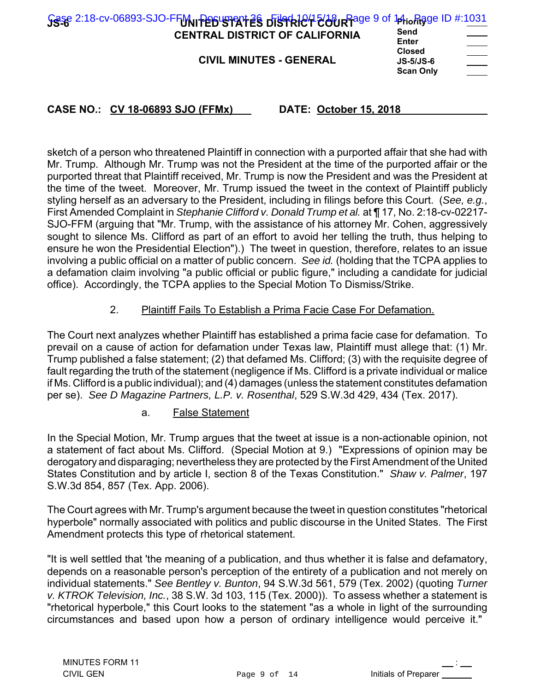| Sese 2:18-cv-06893-SJO-FFM Persument as District Pour Page 9 of 14 in Rage ID #:1031<br><b>CENTRAL DISTRICT OF CALIFORNIA</b> | Send<br>Enter                                    |                                              |
|-------------------------------------------------------------------------------------------------------------------------------|--------------------------------------------------|----------------------------------------------|
| <b>CIVIL MINUTES - GENERAL</b>                                                                                                | <b>Closed</b><br>$JS-5/JS-6$<br><b>Scan Only</b> | $\hspace{1.5cm} \overbrace{\hspace{1.5cm} }$ |

sketch of a person who threatened Plaintiff in connection with a purported affair that she had with Mr. Trump. Although Mr. Trump was not the President at the time of the purported affair or the purported threat that Plaintiff received, Mr. Trump is now the President and was the President at the time of the tweet. Moreover, Mr. Trump issued the tweet in the context of Plaintiff publicly styling herself as an adversary to the President, including in filings before this Court. (*See, e.g.*, First Amended Complaint in *Stephanie Clifford v. Donald Trump et al.* at ¶ 17, No. 2:18-cv-02217- SJO-FFM (arguing that "Mr. Trump, with the assistance of his attorney Mr. Cohen, aggressively sought to silence Ms. Clifford as part of an effort to avoid her telling the truth, thus helping to ensure he won the Presidential Election").) The tweet in question, therefore, relates to an issue involving a public official on a matter of public concern. *See id.* (holding that the TCPA applies to a defamation claim involving "a public official or public figure," including a candidate for judicial office). Accordingly, the TCPA applies to the Special Motion To Dismiss/Strike.

# 2. Plaintiff Fails To Establish a Prima Facie Case For Defamation.

The Court next analyzes whether Plaintiff has established a prima facie case for defamation. To prevail on a cause of action for defamation under Texas law, Plaintiff must allege that: (1) Mr. Trump published a false statement; (2) that defamed Ms. Clifford; (3) with the requisite degree of fault regarding the truth of the statement (negligence if Ms. Clifford is a private individual or malice if Ms. Clifford is a public individual); and (4) damages (unless the statement constitutes defamation per se). *See D Magazine Partners, L.P. v. Rosenthal*, 529 S.W.3d 429, 434 (Tex. 2017).

a. False Statement

In the Special Motion, Mr. Trump argues that the tweet at issue is a non-actionable opinion, not a statement of fact about Ms. Clifford. (Special Motion at 9.) "Expressions of opinion may be derogatory and disparaging; nevertheless they are protected by the First Amendment of the United States Constitution and by article I, section 8 of the Texas Constitution." *Shaw v. Palmer*, 197 S.W.3d 854, 857 (Tex. App. 2006).

The Court agrees with Mr. Trump's argument because the tweet in question constitutes "rhetorical hyperbole" normally associated with politics and public discourse in the United States. The First Amendment protects this type of rhetorical statement.

"It is well settled that 'the meaning of a publication, and thus whether it is false and defamatory, depends on a reasonable person's perception of the entirety of a publication and not merely on individual statements." *See Bentley v. Bunton*, 94 S.W.3d 561, 579 (Tex. 2002) (quoting *Turner v. KTROK Television, Inc.*, 38 S.W. 3d 103, 115 (Tex. 2000)). To assess whether a statement is "rhetorical hyperbole," this Court looks to the statement "as a whole in light of the surrounding circumstances and based upon how a person of ordinary intelligence would perceive it."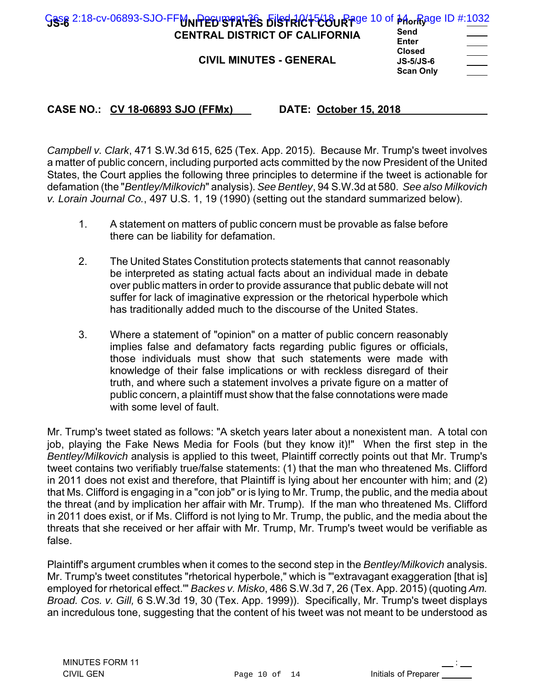| Gase 2:18-cv-06893-SJO-FFMNPEDISPRITES DisTRICT-600 Rage 10 of Morrage ID #:1032<br><b>CENTRAL DISTRICT OF CALIFORNIA</b><br><b>CIVIL MINUTES - GENERAL</b> | Send<br>Enter<br><b>Closed</b><br>$JS-5/JS-6$<br><b>Scan Only</b> |  |
|-------------------------------------------------------------------------------------------------------------------------------------------------------------|-------------------------------------------------------------------|--|
|                                                                                                                                                             |                                                                   |  |

*Campbell v. Clark*, 471 S.W.3d 615, 625 (Tex. App. 2015). Because Mr. Trump's tweet involves a matter of public concern, including purported acts committed by the now President of the United States, the Court applies the following three principles to determine if the tweet is actionable for defamation (the "*Bentley/Milkovich*" analysis). *See Bentley*, 94 S.W.3d at 580. *See also Milkovich v. Lorain Journal Co.*, 497 U.S. 1, 19 (1990) (setting out the standard summarized below).

- 1. A statement on matters of public concern must be provable as false before there can be liability for defamation.
- 2. The United States Constitution protects statements that cannot reasonably be interpreted as stating actual facts about an individual made in debate over public matters in order to provide assurance that public debate will not suffer for lack of imaginative expression or the rhetorical hyperbole which has traditionally added much to the discourse of the United States.
- 3. Where a statement of "opinion" on a matter of public concern reasonably implies false and defamatory facts regarding public figures or officials, those individuals must show that such statements were made with knowledge of their false implications or with reckless disregard of their truth, and where such a statement involves a private figure on a matter of public concern, a plaintiff must show that the false connotations were made with some level of fault.

Mr. Trump's tweet stated as follows: "A sketch years later about a nonexistent man. A total con job, playing the Fake News Media for Fools (but they know it)!" When the first step in the *Bentley/Milkovich* analysis is applied to this tweet, Plaintiff correctly points out that Mr. Trump's tweet contains two verifiably true/false statements: (1) that the man who threatened Ms. Clifford in 2011 does not exist and therefore, that Plaintiff is lying about her encounter with him; and (2) that Ms. Clifford is engaging in a "con job" or is lying to Mr. Trump, the public, and the media about the threat (and by implication her affair with Mr. Trump). If the man who threatened Ms. Clifford in 2011 does exist, or if Ms. Clifford is not lying to Mr. Trump, the public, and the media about the threats that she received or her affair with Mr. Trump, Mr. Trump's tweet would be verifiable as false.

Plaintiff's argument crumbles when it comes to the second step in the *Bentley/Milkovich* analysis. Mr. Trump's tweet constitutes "rhetorical hyperbole," which is "'extravagant exaggeration [that is] employed for rhetorical effect.'" *Backes v. Misko*, 486 S.W.3d 7, 26 (Tex. App. 2015) (quoting *Am. Broad. Cos. v. Gill,* 6 S.W.3d 19, 30 (Tex. App. 1999)). Specifically, Mr. Trump's tweet displays an incredulous tone, suggesting that the content of his tweet was not meant to be understood as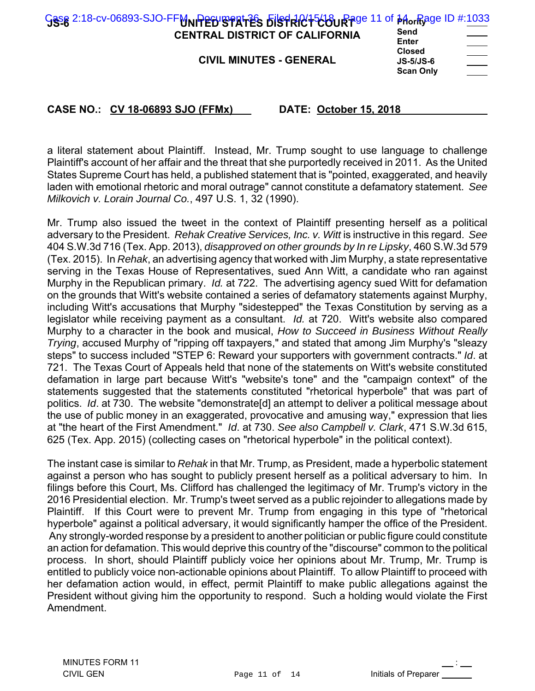| Gase 2:18-cv-06893-SJO-FFMNPEDISPATES bisTRC+566URAge 11 of 14orRage ID #:1033 | Send                                             |               |
|--------------------------------------------------------------------------------|--------------------------------------------------|---------------|
| <b>CENTRAL DISTRICT OF CALIFORNIA</b>                                          | Enter                                            |               |
| <b>CIVIL MINUTES - GENERAL</b>                                                 | <b>Closed</b><br>$JS-5/JS-6$<br><b>Scan Only</b> | $\frac{1}{2}$ |

a literal statement about Plaintiff. Instead, Mr. Trump sought to use language to challenge Plaintiff's account of her affair and the threat that she purportedly received in 2011. As the United States Supreme Court has held, a published statement that is "pointed, exaggerated, and heavily laden with emotional rhetoric and moral outrage" cannot constitute a defamatory statement. *See Milkovich v. Lorain Journal Co.*, 497 U.S. 1, 32 (1990).

Mr. Trump also issued the tweet in the context of Plaintiff presenting herself as a political adversary to the President. *Rehak Creative Services, Inc. v. Witt* is instructive in this regard. *See* 404 S.W.3d 716 (Tex. App. 2013), *disapproved on other grounds by In re Lipsky*, 460 S.W.3d 579 (Tex. 2015). In *Rehak*, an advertising agency that worked with Jim Murphy, a state representative serving in the Texas House of Representatives, sued Ann Witt, a candidate who ran against Murphy in the Republican primary. *Id.* at 722. The advertising agency sued Witt for defamation on the grounds that Witt's website contained a series of defamatory statements against Murphy, including Witt's accusations that Murphy "sidestepped" the Texas Constitution by serving as a legislator while receiving payment as a consultant. *Id.* at 720. Witt's website also compared Murphy to a character in the book and musical, *How to Succeed in Business Without Really Trying*, accused Murphy of "ripping off taxpayers," and stated that among Jim Murphy's "sleazy steps" to success included "STEP 6: Reward your supporters with government contracts." *Id*. at 721. The Texas Court of Appeals held that none of the statements on Witt's website constituted defamation in large part because Witt's "website's tone" and the "campaign context" of the statements suggested that the statements constituted "rhetorical hyperbole" that was part of politics. *Id*. at 730. The website "demonstrate[d] an attempt to deliver a political message about the use of public money in an exaggerated, provocative and amusing way," expression that lies at "the heart of the First Amendment." *Id*. at 730. *See also Campbell v. Clark*, 471 S.W.3d 615, 625 (Tex. App. 2015) (collecting cases on "rhetorical hyperbole" in the political context).

The instant case is similar to *Rehak* in that Mr. Trump, as President, made a hyperbolic statement against a person who has sought to publicly present herself as a political adversary to him. In filings before this Court, Ms. Clifford has challenged the legitimacy of Mr. Trump's victory in the 2016 Presidential election. Mr. Trump's tweet served as a public rejoinder to allegations made by Plaintiff. If this Court were to prevent Mr. Trump from engaging in this type of "rhetorical hyperbole" against a political adversary, it would significantly hamper the office of the President. Any strongly-worded response by a president to another politician or public figure could constitute an action for defamation. This would deprive this country of the "discourse" common to the political process. In short, should Plaintiff publicly voice her opinions about Mr. Trump, Mr. Trump is entitled to publicly voice non-actionable opinions about Plaintiff. To allow Plaintiff to proceed with her defamation action would, in effect, permit Plaintiff to make public allegations against the President without giving him the opportunity to respond. Such a holding would violate the First Amendment.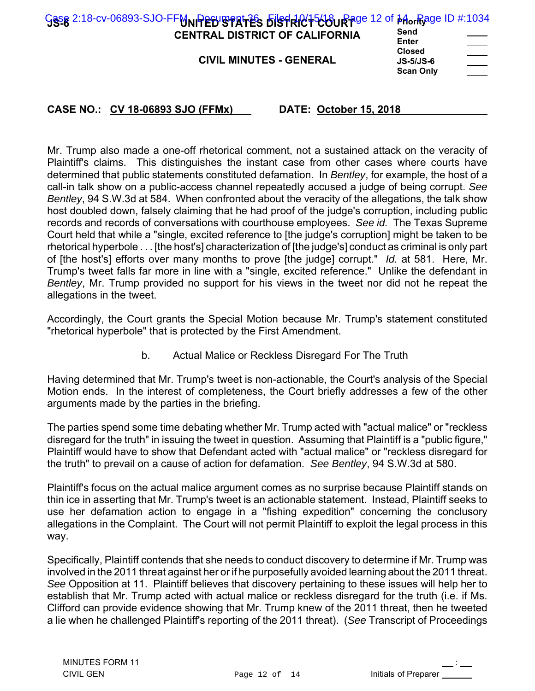| Send<br>Enter<br><b>Closed</b><br>$JS-5/JS-6$<br><b>Scan Only</b> |                                                                                |
|-------------------------------------------------------------------|--------------------------------------------------------------------------------|
|                                                                   |                                                                                |
|                                                                   | Ges 2:18-cv-06893-SJO-FFMNPEDISPRITES DisTRICT500 Rage 12 of Morrage ID #:1034 |

Mr. Trump also made a one-off rhetorical comment, not a sustained attack on the veracity of Plaintiff's claims. This distinguishes the instant case from other cases where courts have determined that public statements constituted defamation. In *Bentley*, for example, the host of a call-in talk show on a public-access channel repeatedly accused a judge of being corrupt. *See Bentley*, 94 S.W.3d at 584. When confronted about the veracity of the allegations, the talk show host doubled down, falsely claiming that he had proof of the judge's corruption, including public records and records of conversations with courthouse employees. *See id.* The Texas Supreme Court held that while a "single, excited reference to [the judge's corruption] might be taken to be rhetorical hyperbole . . . [the host's] characterization of [the judge's] conduct as criminal is only part of [the host's] efforts over many months to prove [the judge] corrupt." *Id.* at 581. Here, Mr. Trump's tweet falls far more in line with a "single, excited reference." Unlike the defendant in *Bentley*, Mr. Trump provided no support for his views in the tweet nor did not he repeat the allegations in the tweet.

Accordingly, the Court grants the Special Motion because Mr. Trump's statement constituted "rhetorical hyperbole" that is protected by the First Amendment.

#### b. Actual Malice or Reckless Disregard For The Truth

Having determined that Mr. Trump's tweet is non-actionable, the Court's analysis of the Special Motion ends. In the interest of completeness, the Court briefly addresses a few of the other arguments made by the parties in the briefing.

The parties spend some time debating whether Mr. Trump acted with "actual malice" or "reckless disregard for the truth" in issuing the tweet in question. Assuming that Plaintiff is a "public figure," Plaintiff would have to show that Defendant acted with "actual malice" or "reckless disregard for the truth" to prevail on a cause of action for defamation. *See Bentley*, 94 S.W.3d at 580.

Plaintiff's focus on the actual malice argument comes as no surprise because Plaintiff stands on thin ice in asserting that Mr. Trump's tweet is an actionable statement. Instead, Plaintiff seeks to use her defamation action to engage in a "fishing expedition" concerning the conclusory allegations in the Complaint. The Court will not permit Plaintiff to exploit the legal process in this way.

Specifically, Plaintiff contends that she needs to conduct discovery to determine if Mr. Trump was involved in the 2011 threat against her or if he purposefully avoided learning about the 2011 threat. *See* Opposition at 11. Plaintiff believes that discovery pertaining to these issues will help her to establish that Mr. Trump acted with actual malice or reckless disregard for the truth (i.e. if Ms. Clifford can provide evidence showing that Mr. Trump knew of the 2011 threat, then he tweeted a lie when he challenged Plaintiff's reporting of the 2011 threat). (*See* Transcript of Proceedings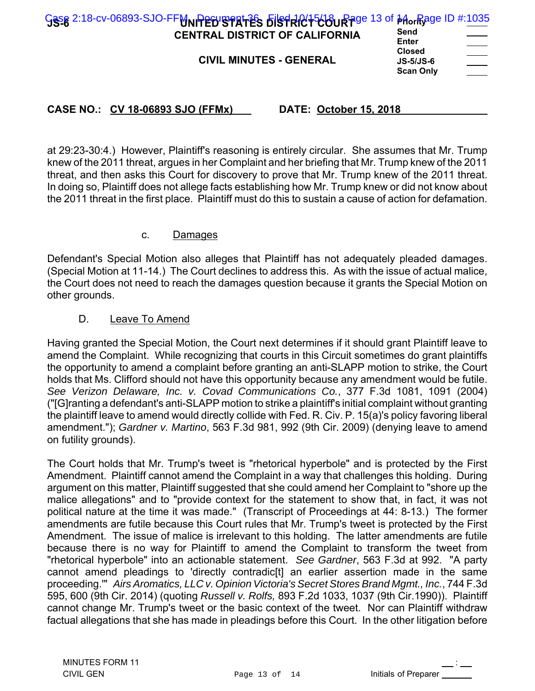| Gese 2:18-cv-06893-SJO-FFMNPEDISPATES District to Page 13 of Morrage ID #:1035<br>Send<br><b>CENTRAL DISTRICT OF CALIFORNIA</b><br>Enter<br><b>Closed</b><br><b>CIVIL MINUTES - GENERAL</b><br><b>JS-5/JS-6</b><br><b>Scan Only</b> | $\hspace{0.05cm}$ |
|-------------------------------------------------------------------------------------------------------------------------------------------------------------------------------------------------------------------------------------|-------------------|
|-------------------------------------------------------------------------------------------------------------------------------------------------------------------------------------------------------------------------------------|-------------------|

at 29:23-30:4.) However, Plaintiff's reasoning is entirely circular. She assumes that Mr. Trump knew of the 2011 threat, argues in her Complaint and her briefing that Mr. Trump knew of the 2011 threat, and then asks this Court for discovery to prove that Mr. Trump knew of the 2011 threat. In doing so, Plaintiff does not allege facts establishing how Mr. Trump knew or did not know about the 2011 threat in the first place. Plaintiff must do this to sustain a cause of action for defamation.

#### c. Damages

Defendant's Special Motion also alleges that Plaintiff has not adequately pleaded damages. (Special Motion at 11-14.) The Court declines to address this. As with the issue of actual malice, the Court does not need to reach the damages question because it grants the Special Motion on other grounds.

#### D. Leave To Amend

Having granted the Special Motion, the Court next determines if it should grant Plaintiff leave to amend the Complaint. While recognizing that courts in this Circuit sometimes do grant plaintiffs the opportunity to amend a complaint before granting an anti-SLAPP motion to strike, the Court holds that Ms. Clifford should not have this opportunity because any amendment would be futile. *See Verizon Delaware, Inc. v. Covad Communications Co.*, 377 F.3d 1081, 1091 (2004) ("[G]ranting a defendant's anti-SLAPP motion to strike a plaintiff's initial complaint without granting the plaintiff leave to amend would directly collide with Fed. R. Civ. P. 15(a)'s policy favoring liberal amendment."); *Gardner v. Martino*, 563 F.3d 981, 992 (9th Cir. 2009) (denying leave to amend on futility grounds).

The Court holds that Mr. Trump's tweet is "rhetorical hyperbole" and is protected by the First Amendment. Plaintiff cannot amend the Complaint in a way that challenges this holding. During argument on this matter, Plaintiff suggested that she could amend her Complaint to "shore up the malice allegations" and to "provide context for the statement to show that, in fact, it was not political nature at the time it was made." (Transcript of Proceedings at 44: 8-13.) The former amendments are futile because this Court rules that Mr. Trump's tweet is protected by the First Amendment. The issue of malice is irrelevant to this holding. The latter amendments are futile because there is no way for Plaintiff to amend the Complaint to transform the tweet from "rhetorical hyperbole" into an actionable statement. *See Gardner*, 563 F.3d at 992. "A party cannot amend pleadings to 'directly contradic[t] an earlier assertion made in the same proceeding.'" *Airs Aromatics, LLC v. Opinion Victoria's Secret Stores Brand Mgmt., Inc.*, 744 F.3d 595, 600 (9th Cir. 2014) (quoting *Russell v. Rolfs,* 893 F.2d 1033, 1037 (9th Cir.1990)). Plaintiff cannot change Mr. Trump's tweet or the basic context of the tweet. Nor can Plaintiff withdraw factual allegations that she has made in pleadings before this Court. In the other litigation before